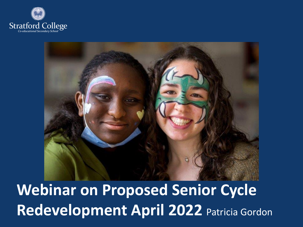



**Webinar on Proposed Senior Cycle Redevelopment April 2022** Patricia Gordon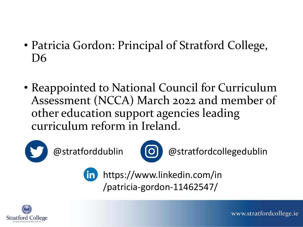- Patricia Gordon: Principal of Stratford College, D6
- Reappointed to National Council for Curriculum Assessment (NCCA) March 2022 and member of other education support agencies leading curriculum reform in Ireland.





@stratforddublin (O) @stratfordcollegedublin

https://www.linkedin.com/in **(in)** /patricia-gordon-11462547/

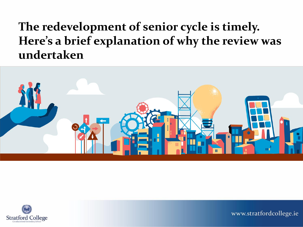#### **The redevelopment of senior cycle is timely. Here's a brief explanation of why the review was undertaken**



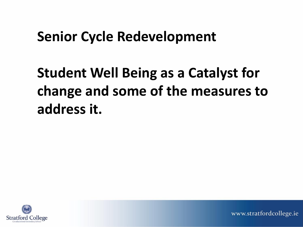#### **Senior Cycle Redevelopment**

# **Student Well Being as a Catalyst for change and some of the measures to address it.**

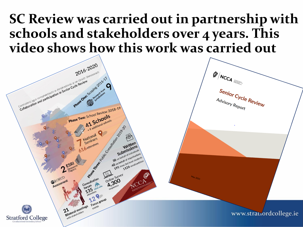#### **SC Review was carried out in partnership with schools and stakeholders over 4 years. This [video shows how this wo](https://twitter.com/NCCAie/status/1509188498879926279)rk was carried out**

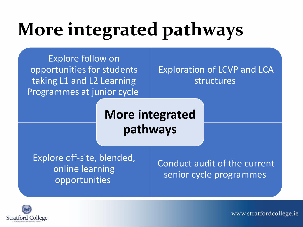# **More integrated pathways**

Explore follow on opportunities for students taking L1 and L2 Learning Programmes at junior cycle

Exploration of LCVP and LCA structures

**More integrated pathways**

Explore off-site, blended, online learning opportunities

Conduct audit of the current senior cycle programmes

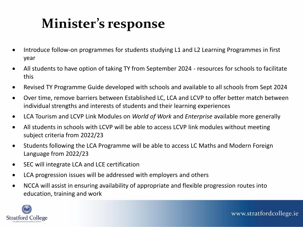## **Minister's response**

- Introduce follow-on programmes for students studying L1 and L2 Learning Programmes in first year
- All students to have option of taking TY from September 2024 resources for schools to facilitate this
- Revised TY Programme Guide developed with schools and available to all schools from Sept 2024
- Over time, remove barriers between Established LC, LCA and LCVP to offer better match between individual strengths and interests of students and their learning experiences
- LCA Tourism and LCVP Link Modules on *World of Work* and *Enterprise* available more generally
- All students in schools with LCVP will be able to access LCVP link modules without meeting subject criteria from 2022/23
- Students following the LCA Programme will be able to access LC Maths and Modern Foreign Language from 2022/23
- SEC will integrate LCA and LCE certification
- LCA progression issues will be addressed with employers and others
- NCCA will assist in ensuring availability of appropriate and flexible progression routes into education, training and work

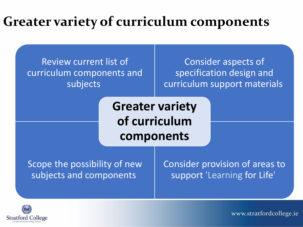### **Greater variety of curriculum components**

Review current list of curriculum components and subjects

Consider aspects of specification design and curriculum support materials

**Greater variety of curriculum components**

Scope the possibility of new subjects and components

Consider provision of areas to support 'Learning for Life'

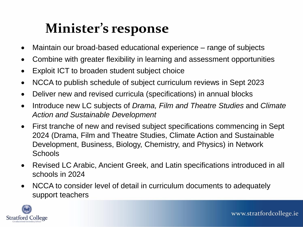## **Minister's response**

- Maintain our broad-based educational experience range of subjects
- Combine with greater flexibility in learning and assessment opportunities
- Exploit ICT to broaden student subject choice
- NCCA to publish schedule of subject curriculum reviews in Sept 2023
- Deliver new and revised curricula (specifications) in annual blocks
- Introduce new LC subjects of *Drama, Film and Theatre Studies* and *Climate Action and Sustainable Development*
- First tranche of new and revised subject specifications commencing in Sept 2024 (Drama, Film and Theatre Studies, Climate Action and Sustainable Development, Business, Biology, Chemistry, and Physics) in Network **Schools**
- Revised LC Arabic, Ancient Greek, and Latin specifications introduced in all schools in 2024
- NCCA to consider level of detail in curriculum documents to adequately support teachers

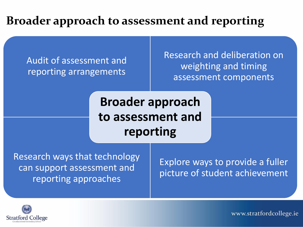#### **Broader approach to assessment and reporting**

Audit of assessment and reporting arrangements

Research and deliberation on weighting and timing assessment components

**Broader approach to assessment and reporting** 

Research ways that technology can support assessment and reporting approaches

Explore ways to provide a fuller picture of student achievement

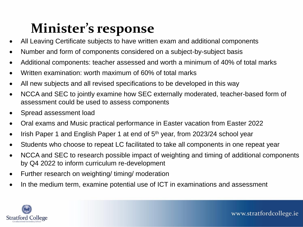## **Minister's response**

- All Leaving Certificate subjects to have written exam and additional components
- Number and form of components considered on a subject-by-subject basis
- Additional components: teacher assessed and worth a minimum of 40% of total marks
- Written examination: worth maximum of 60% of total marks
- All new subjects and all revised specifications to be developed in this way
- NCCA and SEC to jointly examine how SEC externally moderated, teacher-based form of assessment could be used to assess components
- Spread assessment load
- Oral exams and Music practical performance in Easter vacation from Easter 2022
- Irish Paper 1 and English Paper 1 at end of  $5<sup>th</sup>$  year, from 2023/24 school year
- Students who choose to repeat LC facilitated to take all components in one repeat year
- NCCA and SEC to research possible impact of weighting and timing of additional components by Q4 2022 to inform curriculum re-development
- Further research on weighting/ timing/ moderation
- In the medium term, examine potential use of ICT in examinations and assessment

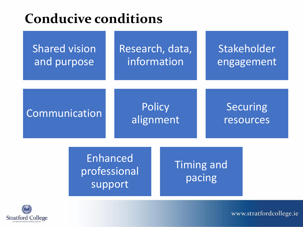#### **Conducive conditions**

| <b>Shared vision</b><br>and purpose |                                     | Research, data,<br>information |                            | Stakeholder<br>engagement   |                              |  |
|-------------------------------------|-------------------------------------|--------------------------------|----------------------------|-----------------------------|------------------------------|--|
| Communication                       |                                     |                                | <b>Policy</b><br>alignment |                             | <b>Securing</b><br>resources |  |
|                                     | Enhanced<br>professional<br>support |                                |                            | <b>Timing and</b><br>pacing |                              |  |

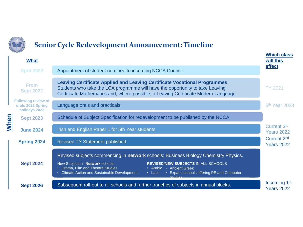

#### **Senior Cycle Redevelopment Announcement: Timeline**

|      | <b>STATISTICS</b>                                                |                                                                                                                                                                                                                                                                                                                                                             | <b>Which class</b>                            |  |  |  |
|------|------------------------------------------------------------------|-------------------------------------------------------------------------------------------------------------------------------------------------------------------------------------------------------------------------------------------------------------------------------------------------------------------------------------------------------------|-----------------------------------------------|--|--|--|
|      | <b>What</b>                                                      |                                                                                                                                                                                                                                                                                                                                                             | will this                                     |  |  |  |
|      | <b>April 2022</b>                                                | Appointment of student nominee to incoming NCCA Council.                                                                                                                                                                                                                                                                                                    | effect                                        |  |  |  |
| When | <b>From</b><br><b>Sept 2022</b>                                  | <b>Leaving Certificate Applied and Leaving Certificate Vocational Programmes</b><br>Students who take the LCA programme will have the opportunity to take Leaving<br>Certificate Mathematics and, where possible, a Leaving Certificate Modern Language.                                                                                                    | <b>TY 2021</b>                                |  |  |  |
|      | <b>Following review of</b><br>orals 2022 Spring<br>holidays 2023 | Language orals and practicals.                                                                                                                                                                                                                                                                                                                              | 5 <sup>th</sup> Year 2023                     |  |  |  |
|      | <b>Sept 2023</b>                                                 | Schedule of Subject Specification for redevelopment to be published by the NCCA.                                                                                                                                                                                                                                                                            |                                               |  |  |  |
|      | <b>June 2024</b>                                                 | Irish and English Paper 1 for 5th Year students.                                                                                                                                                                                                                                                                                                            | Current 3rd<br><b>Years 2022</b>              |  |  |  |
|      | <b>Spring 2024</b>                                               | Revised TY Statement published.                                                                                                                                                                                                                                                                                                                             |                                               |  |  |  |
|      | <b>Sept 2024</b>                                                 | Revised subjects commencing in network schools: Business Biology Chemistry Physics.<br><b>REVISED/NEW SUBJECTS IN ALL SCHOOLS</b><br>New Subjects in Network schools<br>• Drama, Film and Theatre Studies<br>• Arabic • Ancient Greek<br>• Climate Action and Sustainable Development<br>• Latin<br>• Expand schools offering PE and Computer<br>$Q$ tudion |                                               |  |  |  |
|      | <b>Sept 2026</b>                                                 | Subsequent roll-out to all schools and further tranches of subjects in annual blocks.                                                                                                                                                                                                                                                                       | Incoming 1 <sup>st</sup><br><b>Years 2022</b> |  |  |  |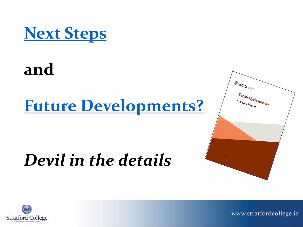

# **and**

# **[Future Developments?](https://www.stratfordcollege.ie/news/post/senior-cycle-redevelopment-timetline)**

# *Devil in the details*



www.stratfordcollege.ie

 $\mathscr{D}/N_{\text{CCA}}$ 

Advisory Report

Senior Cycle Review<br>Advisory Report